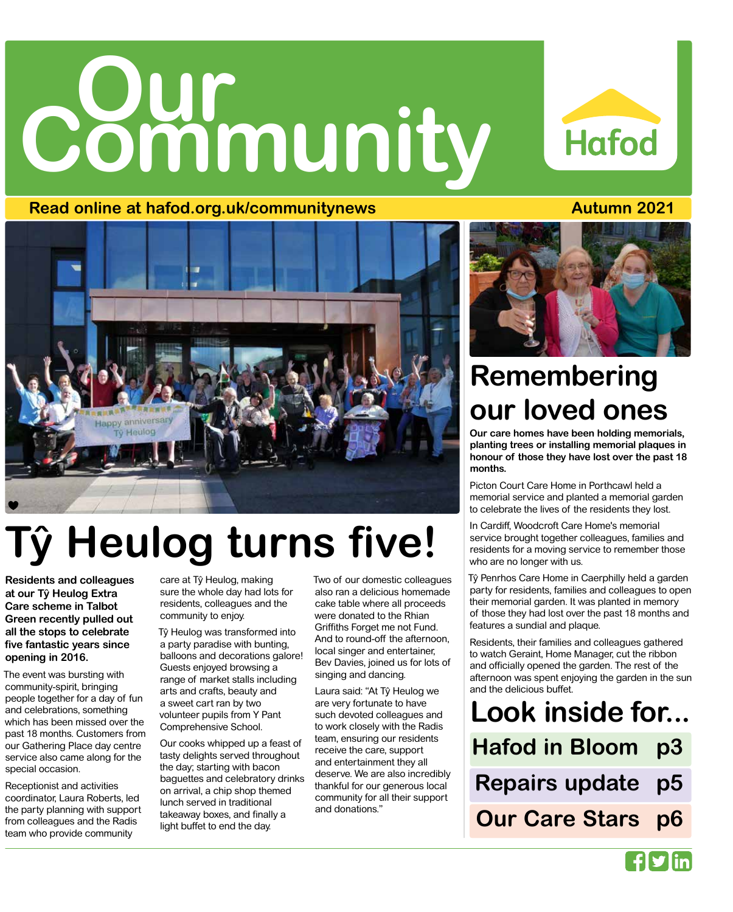# **Community Our**

### **Read online at hafod.org.uk/communitynews Autumn 2021**

# appy anniversary **Neulog**

# **Tŷ Heulog turns five!**

**Residents and colleagues at our Tŷ Heulog Extra Care scheme in Talbot Green recently pulled out all the stops to celebrate five fantastic years since opening in 2016.**

The event was bursting with community-spirit, bringing people together for a day of fun and celebrations, something which has been missed over the past 18 months. Customers from our Gathering Place day centre service also came along for the special occasion.

Receptionist and activities coordinator, Laura Roberts, led the party planning with support from colleagues and the Radis team who provide community

care at Tŷ Heulog, making sure the whole day had lots for residents, colleagues and the community to enjoy.

Tŷ Heulog was transformed into a party paradise with bunting, balloons and decorations galore! Guests enjoyed browsing a range of market stalls including arts and crafts, beauty and a sweet cart ran by two volunteer pupils from Y Pant Comprehensive School.

Our cooks whipped up a feast of tasty delights served throughout the day; starting with bacon baguettes and celebratory drinks on arrival, a chip shop themed lunch served in traditional takeaway boxes, and finally a light buffet to end the day.

Two of our domestic colleagues also ran a delicious homemade cake table where all proceeds were donated to the Rhian Griffiths Forget me not Fund. And to round-off the afternoon, local singer and entertainer, Bev Davies, joined us for lots of singing and dancing.

Laura said: "At Tŷ Heulog we are very fortunate to have such devoted colleagues and to work closely with the Radis team, ensuring our residents receive the care, support and entertainment they all deserve. We are also incredibly thankful for our generous local community for all their support and donations."



# **Remembering our loved ones**

**Our care homes have been holding memorials, planting trees or installing memorial plaques in honour of those they have lost over the past 18 months.**

Picton Court Care Home in Porthcawl held a memorial service and planted a memorial garden to celebrate the lives of the residents they lost.

In Cardiff, Woodcroft Care Home's memorial service brought together colleagues, families and residents for a moving service to remember those who are no longer with us.

Tŷ Penrhos Care Home in Caerphilly held a garden party for residents, families and colleagues to open their memorial garden. It was planted in memory of those they had lost over the past 18 months and features a sundial and plaque.

Residents, their families and colleagues gathered to watch Geraint, Home Manager, cut the ribbon and officially opened the garden. The rest of the afternoon was spent enjoying the garden in the sun and the delicious buffet.

**Look inside for... Hafod in Bloom p3 p5 p6 Repairs update Our Care Stars**



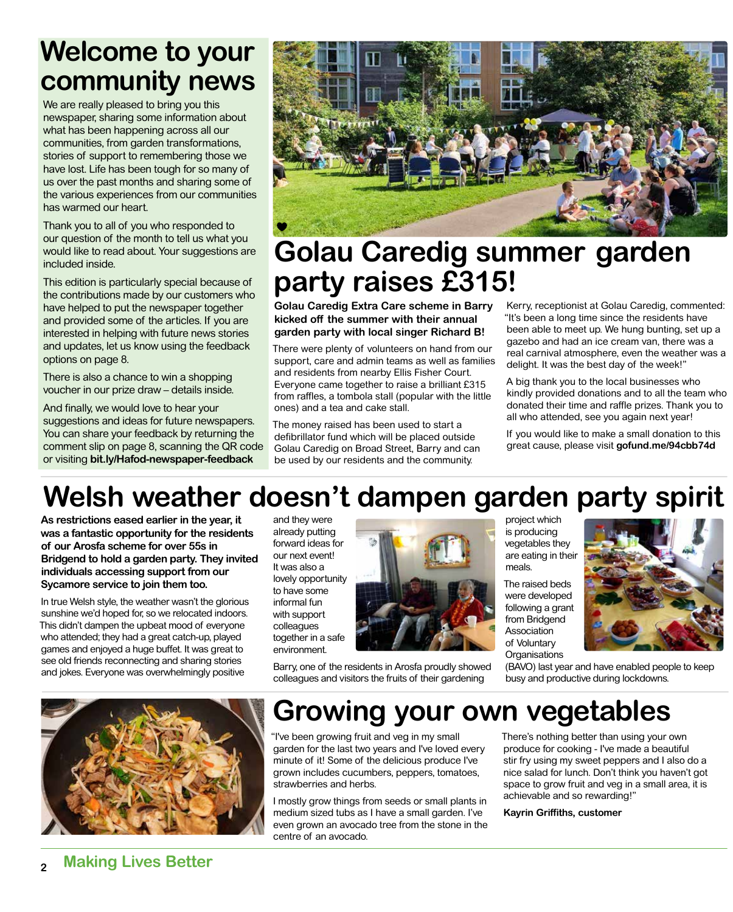## **Welcome to your community news**

We are really pleased to bring you this newspaper, sharing some information about what has been happening across all our communities, from garden transformations, stories of support to remembering those we have lost. Life has been tough for so many of us over the past months and sharing some of the various experiences from our communities has warmed our heart.

Thank you to all of you who responded to our question of the month to tell us what you would like to read about. Your suggestions are included inside.

This edition is particularly special because of the contributions made by our customers who have helped to put the newspaper together and provided some of the articles. If you are interested in helping with future news stories and updates, let us know using the feedback options on page 8.

There is also a chance to win a shopping voucher in our prize draw – details inside.

And finally, we would love to hear your suggestions and ideas for future newspapers. You can share your feedback by returning the comment slip on page 8, scanning the QR code or visiting **bit.ly/Hafod-newspaper-feedback**



## **Golau Caredig summer garden party raises £315!**

**Golau Caredig Extra Care scheme in Barry kicked off the summer with their annual garden party with local singer Richard B!** 

There were plenty of volunteers on hand from our support, care and admin teams as well as families and residents from nearby Ellis Fisher Court. Everyone came together to raise a brilliant £315 from raffles, a tombola stall (popular with the little ones) and a tea and cake stall.

The money raised has been used to start a defibrillator fund which will be placed outside Golau Caredig on Broad Street, Barry and can be used by our residents and the community.

Kerry, receptionist at Golau Caredig, commented: "It's been a long time since the residents have been able to meet up. We hung bunting, set up a gazebo and had an ice cream van, there was a real carnival atmosphere, even the weather was a delight. It was the best day of the week!"

A big thank you to the local businesses who kindly provided donations and to all the team who donated their time and raffle prizes. Thank you to all who attended, see you again next year!

If you would like to make a small donation to this great cause, please visit **gofund.me/94cbb74d**

## **Welsh weather doesn't dampen garden party spirit**

**As restrictions eased earlier in the year, it was a fantastic opportunity for the residents of our Arosfa scheme for over 55s in Bridgend to hold a garden party. They invited individuals accessing support from our Sycamore service to join them too.** 

In true Welsh style, the weather wasn't the glorious sunshine we'd hoped for, so we relocated indoors. This didn't dampen the upbeat mood of everyone who attended; they had a great catch-up, played games and enjoyed a huge buffet. It was great to see old friends reconnecting and sharing stories and jokes. Everyone was overwhelmingly positive

and they were already putting forward ideas for our next event! It was also a lovely opportunity to have some informal fun with support colleagues together in a safe environment.



Barry, one of the residents in Arosfa proudly showed colleagues and visitors the fruits of their gardening

project which is producing vegetables they are eating in their meals.

The raised beds were developed following a grant from Bridgend Association of Voluntary **Organisations** 



(BAVO) last year and have enabled people to keep busy and productive during lockdowns.



## **Growing your own vegetables**

"I've been growing fruit and veg in my small garden for the last two years and I've loved every minute of it! Some of the delicious produce I've grown includes cucumbers, peppers, tomatoes, strawberries and herbs.

I mostly grow things from seeds or small plants in medium sized tubs as I have a small garden. I've even grown an avocado tree from the stone in the centre of an avocado.

There's nothing better than using your own produce for cooking - I've made a beautiful stir fry using my sweet peppers and I also do a nice salad for lunch. Don't think you haven't got space to grow fruit and veg in a small area, it is achievable and so rewarding!"

**Kayrin Griffiths, customer**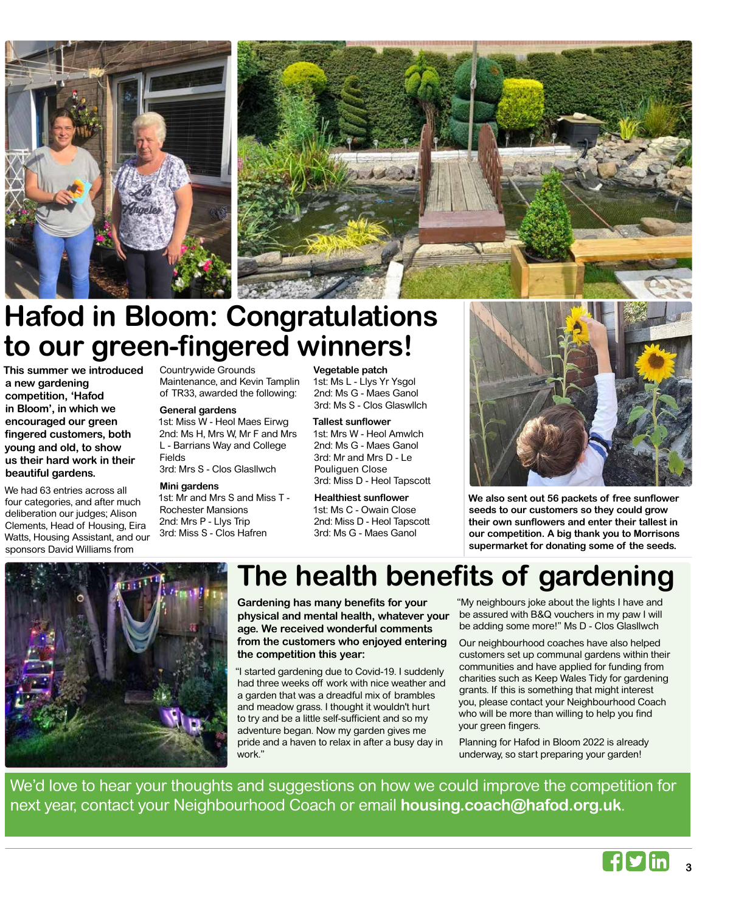

## **Hafod in Bloom: Congratulations to our green-fingered winners!**

**This summer we introduced a new gardening competition, 'Hafod in Bloom', in which we encouraged our green fingered customers, both young and old, to show us their hard work in their beautiful gardens.** 

We had 63 entries across all four categories, and after much deliberation our judges; Alison Clements, Head of Housing, Eira Watts, Housing Assistant, and our sponsors David Williams from

Countrywide Grounds Maintenance, and Kevin Tamplin of TR33, awarded the following:

#### **General gardens**

1st: Miss W - Heol Maes Eirwg 2nd: Ms H, Mrs W, Mr F and Mrs L - Barrians Way and College Fields 3rd: Mrs S - Clos Glasllwch

#### **Mini gardens**

1st: Mr and Mrs S and Miss T - Rochester Mansions 2nd: Mrs P - Llys Trip 3rd: Miss S - Clos Hafren

**Vegetable patch** 1st: Ms L - Llys Yr Ysgol

2nd: Ms G - Maes Ganol 3rd: Ms S - Clos Glaswllch

#### **Tallest sunflower**

1st: Mrs W - Heol Amwlch 2nd: Ms G - Maes Ganol 3rd: Mr and Mrs D - Le Pouliguen Close 3rd: Miss D - Heol Tapscott

**Healthiest sunflower** 1st: Ms C - Owain Close 2nd: Miss D - Heol Tapscott 3rd: Ms G - Maes Ganol



**We also sent out 56 packets of free sunflower seeds to our customers so they could grow their own sunflowers and enter their tallest in our competition. A big thank you to Morrisons supermarket for donating some of the seeds.**



## **The health benefits of gardening**

**Gardening has many benefits for your physical and mental health, whatever your age. We received wonderful comments from the customers who enjoyed entering the competition this year:**

"I started gardening due to Covid-19. I suddenly had three weeks off work with nice weather and a garden that was a dreadful mix of brambles and meadow grass. I thought it wouldn't hurt to try and be a little self-sufficient and so my adventure began. Now my garden gives me pride and a haven to relax in after a busy day in work."

"My neighbours joke about the lights I have and be assured with B&Q vouchers in my paw I will be adding some more!" Ms D - Clos Glasllwch

Our neighbourhood coaches have also helped customers set up communal gardens within their communities and have applied for funding from charities such as Keep Wales Tidy for gardening grants. If this is something that might interest you, please contact your Neighbourhood Coach who will be more than willing to help you find your green fingers.

Planning for Hafod in Bloom 2022 is already underway, so start preparing your garden!

We'd love to hear your thoughts and suggestions on how we could improve the competition for next year, contact your Neighbourhood Coach or email **housing.coach@hafod.org.uk**.



**3**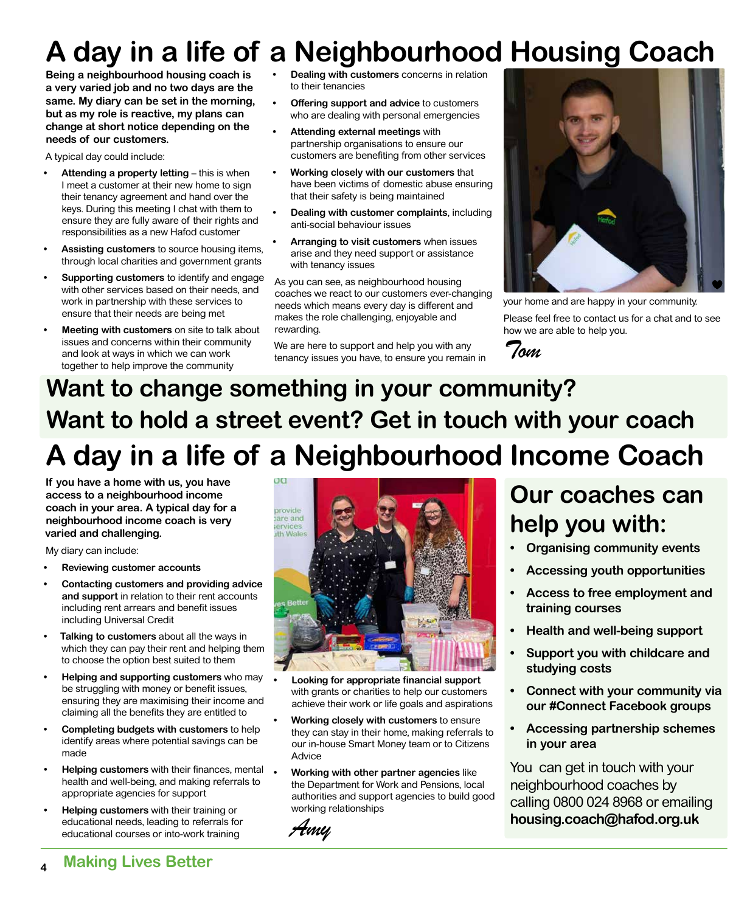# **A day in a life of a Neighbourhood Housing Coach**

**Being a neighbourhood housing coach is a very varied job and no two days are the same. My diary can be set in the morning, but as my role is reactive, my plans can change at short notice depending on the needs of our customers.** 

A typical day could include:

- **Attending a property letting this is when** I meet a customer at their new home to sign their tenancy agreement and hand over the keys. During this meeting I chat with them to ensure they are fully aware of their rights and responsibilities as a new Hafod customer
- **• Assisting customers** to source housing items, through local charities and government grants
- **• Supporting customers** to identify and engage with other services based on their needs, and work in partnership with these services to ensure that their needs are being met
- **• Meeting with customers** on site to talk about issues and concerns within their community and look at ways in which we can work together to help improve the community
- **• Dealing with customers** concerns in relation to their tenancies
- **• Offering support and advice** to customers who are dealing with personal emergencies
- **• Attending external meetings** with partnership organisations to ensure our customers are benefiting from other services
- **• Working closely with our customers** that have been victims of domestic abuse ensuring that their safety is being maintained
- **• Dealing with customer complaints**, including anti-social behaviour issues
- **• Arranging to visit customers** when issues arise and they need support or assistance with tenancy issues

As you can see, as neighbourhood housing coaches we react to our customers ever-changing needs which means every day is different and makes the role challenging, enjoyable and rewarding.

We are here to support and help you with any tenancy issues you have, to ensure you remain in



your home and are happy in your community.

Please feel free to contact us for a chat and to see how we are able to help you.



## **Want to change something in your community? Want to hold a street event? Get in touch with your coach A day in a life of a Neighbourhood Income Coach**

**If you have a home with us, you have access to a neighbourhood income coach in your area. A typical day for a neighbourhood income coach is very varied and challenging.** 

My diary can include:

- **• Reviewing customer accounts**
- **• Contacting customers and providing advice and support** in relation to their rent accounts including rent arrears and benefit issues including Universal Credit
- **• Talking to customers** about all the ways in which they can pay their rent and helping them to choose the option best suited to them
- **• Helping and supporting customers** who may be struggling with money or benefit issues, ensuring they are maximising their income and claiming all the benefits they are entitled to
- **• Completing budgets with customers** to help identify areas where potential savings can be made
- **• Helping customers** with their finances, mental health and well-being, and making referrals to appropriate agencies for support
- **• Helping customers** with their training or educational needs, leading to referrals for educational courses or into-work training



- **• Looking for appropriate financial support**  with grants or charities to help our customers achieve their work or life goals and aspirations
- **• Working closely with customers** to ensure they can stay in their home, making referrals to our in-house Smart Money team or to Citizens Advice
- **• Working with other partner agencies** like the Department for Work and Pensions, local authorities and support agencies to build good working relationships

*Amy*

## **Our coaches can help you with:**

- **• Organising community events**
- **• Accessing youth opportunities**
- **• Access to free employment and training courses**
- **• Health and well-being support**
- **• Support you with childcare and studying costs**
- **• Connect with your community via our #Connect Facebook groups**
- **• Accessing partnership schemes in your area**

You can get in touch with your neighbourhood coaches by calling 0800 024 8968 or emailing **housing.coach@hafod.org.uk**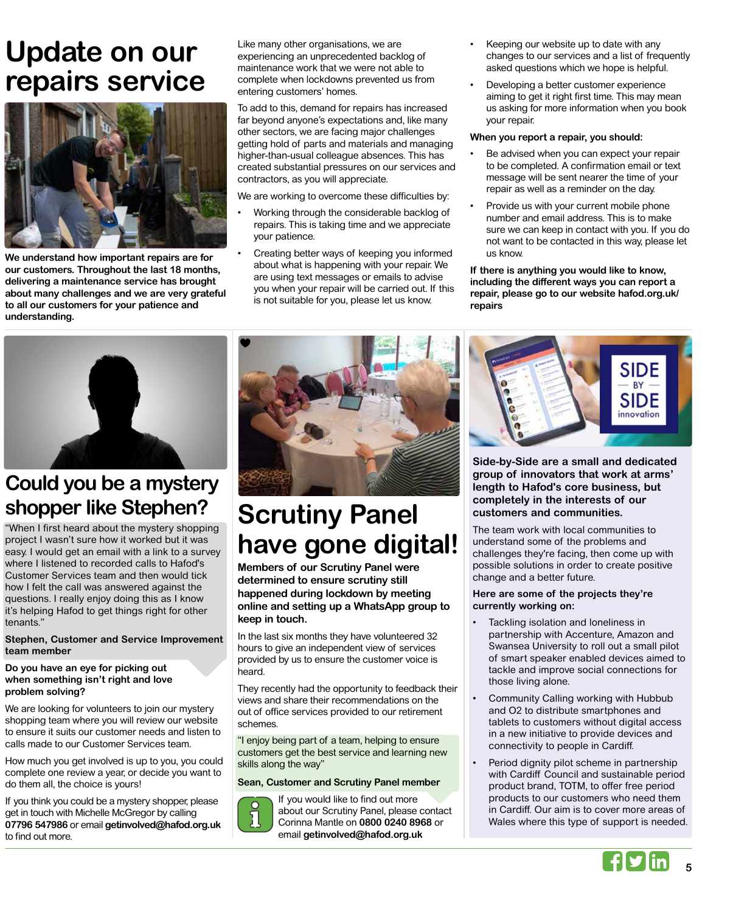## **Update on our repairs service**



**We understand how important repairs are for our customers. Throughout the last 18 months, delivering a maintenance service has brought about many challenges and we are very grateful to all our customers for your patience and understanding.** 

Like many other organisations, we are experiencing an unprecedented backlog of maintenance work that we were not able to complete when lockdowns prevented us from entering customers' homes.

To add to this, demand for repairs has increased far beyond anyone's expectations and, like many other sectors, we are facing major challenges getting hold of parts and materials and managing higher-than-usual colleague absences. This has created substantial pressures on our services and contractors, as you will appreciate.

We are working to overcome these difficulties by:

- Working through the considerable backlog of repairs. This is taking time and we appreciate your patience.
- Creating better ways of keeping you informed about what is happening with your repair. We are using text messages or emails to advise you when your repair will be carried out. If this is not suitable for you, please let us know.
- Keeping our website up to date with any changes to our services and a list of frequently asked questions which we hope is helpful.
- Developing a better customer experience aiming to get it right first time. This may mean us asking for more information when you book your repair.

#### **When you report a repair, you should:**

- Be advised when you can expect your repair to be completed. A confirmation email or text message will be sent nearer the time of your repair as well as a reminder on the day.
- Provide us with your current mobile phone number and email address. This is to make sure we can keep in contact with you. If you do not want to be contacted in this way, please let us know.

**If there is anything you would like to know, including the different ways you can report a repair, please go to our website hafod.org.uk/ repairs** 



## **Could you be a mystery shopper like Stephen?**

"When I first heard about the mystery shopping project I wasn't sure how it worked but it was easy. I would get an email with a link to a survey where I listened to recorded calls to Hafod's Customer Services team and then would tick how I felt the call was answered against the questions. I really enjoy doing this as I know it's helping Hafod to get things right for other tenants."

#### **Stephen, Customer and Service Improvement team member**

#### **Do you have an eye for picking out when something isn't right and love problem solving?**

We are looking for volunteers to join our mystery shopping team where you will review our website to ensure it suits our customer needs and listen to calls made to our Customer Services team.

How much you get involved is up to you, you could complete one review a year, or decide you want to do them all, the choice is yours!

If you think you could be a mystery shopper, please get in touch with Michelle McGregor by calling **07796 547986** or email **getinvolved@hafod.org.uk**  to find out more.



## **Scrutiny Panel have gone digital!**

**Members of our Scrutiny Panel were determined to ensure scrutiny still happened during lockdown by meeting online and setting up a WhatsApp group to keep in touch.** 

In the last six months they have volunteered 32 hours to give an independent view of services provided by us to ensure the customer voice is heard.

They recently had the opportunity to feedback their views and share their recommendations on the out of office services provided to our retirement schemes.

"I enjoy being part of a team, helping to ensure customers get the best service and learning new skills along the way"

#### **Sean, Customer and Scrutiny Panel member**



If you would like to find out more about our Scrutiny Panel, please contact Corinna Mantle on **0800 0240 8968** or email **getinvolved@hafod.org.uk** 



**Side-by-Side are a small and dedicated group of innovators that work at arms' length to Hafod's core business, but completely in the interests of our customers and communities.** 

The team work with local communities to understand some of the problems and challenges they're facing, then come up with possible solutions in order to create positive change and a better future.

#### **Here are some of the projects they're currently working on:**

- Tackling isolation and loneliness in partnership with Accenture, Amazon and Swansea University to roll out a small pilot of smart speaker enabled devices aimed to tackle and improve social connections for those living alone.
- Community Calling working with Hubbub and O2 to distribute smartphones and tablets to customers without digital access in a new initiative to provide devices and connectivity to people in Cardiff.
- Period dignity pilot scheme in partnership with Cardiff Council and sustainable period product brand, TOTM, to offer free period products to our customers who need them in Cardiff. Our aim is to cover more areas of Wales where this type of support is needed.

**5**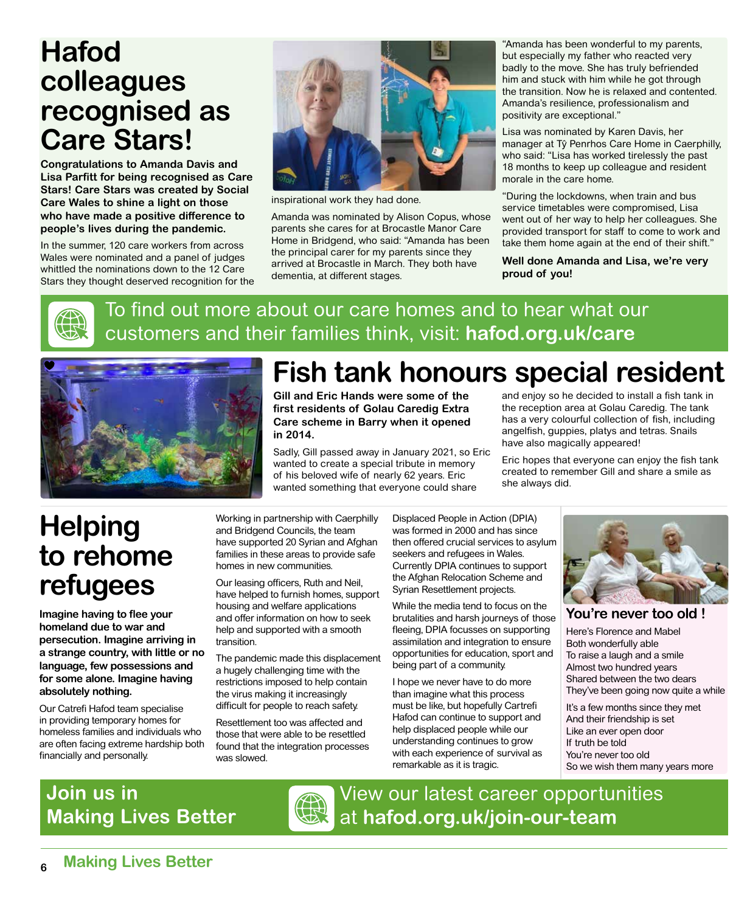## **Hafod colleagues recognised as Care Stars!**

**Congratulations to Amanda Davis and Lisa Parfitt for being recognised as Care Stars! Care Stars was created by Social Care Wales to shine a light on those who have made a positive difference to people's lives during the pandemic.** 

In the summer, 120 care workers from across Wales were nominated and a panel of judges whittled the nominations down to the 12 Care Stars they thought deserved recognition for the



inspirational work they had done.

Amanda was nominated by Alison Copus, whose parents she cares for at Brocastle Manor Care Home in Bridgend, who said: "Amanda has been the principal carer for my parents since they arrived at Brocastle in March. They both have dementia, at different stages.

"Amanda has been wonderful to my parents, but especially my father who reacted very badly to the move. She has truly befriended him and stuck with him while he got through the transition. Now he is relaxed and contented. Amanda's resilience, professionalism and positivity are exceptional."

Lisa was nominated by Karen Davis, her manager at Tŷ Penrhos Care Home in Caerphilly, who said: "Lisa has worked tirelessly the past 18 months to keep up colleague and resident morale in the care home.

"During the lockdowns, when train and bus service timetables were compromised, Lisa went out of her way to help her colleagues. She provided transport for staff to come to work and take them home again at the end of their shift."

**Well done Amanda and Lisa, we're very proud of you!**



## To find out more about our care homes and to hear what our customers and their families think, visit: **hafod.org.uk/care**



# **Fish tank honours special resident**

**Gill and Eric Hands were some of the first residents of Golau Caredig Extra Care scheme in Barry when it opened in 2014.**

Sadly, Gill passed away in January 2021, so Eric wanted to create a special tribute in memory of his beloved wife of nearly 62 years. Eric wanted something that everyone could share

and enjoy so he decided to install a fish tank in the reception area at Golau Caredig. The tank has a very colourful collection of fish, including angelfish, guppies, platys and tetras. Snails have also magically appeared!

Eric hopes that everyone can enjoy the fish tank created to remember Gill and share a smile as she always did.

## **Helping to rehome refugees**

**Imagine having to flee your homeland due to war and persecution. Imagine arriving in a strange country, with little or no language, few possessions and for some alone. Imagine having absolutely nothing.**

Our Catrefi Hafod team specialise in providing temporary homes for homeless families and individuals who are often facing extreme hardship both financially and personally.

Working in partnership with Caerphilly and Bridgend Councils, the team have supported 20 Syrian and Afghan families in these areas to provide safe homes in new communities.

Our leasing officers, Ruth and Neil, have helped to furnish homes, support housing and welfare applications and offer information on how to seek help and supported with a smooth transition.

The pandemic made this displacement a hugely challenging time with the restrictions imposed to help contain the virus making it increasingly difficult for people to reach safety.

Resettlement too was affected and those that were able to be resettled found that the integration processes was slowed.

Displaced People in Action (DPIA) was formed in 2000 and has since then offered crucial services to asylum seekers and refugees in Wales. Currently DPIA continues to support the Afghan Relocation Scheme and Syrian Resettlement projects.

While the media tend to focus on the brutalities and harsh journeys of those fleeing, DPIA focusses on supporting assimilation and integration to ensure opportunities for education, sport and being part of a community.

I hope we never have to do more than imagine what this process must be like, but hopefully Cartrefi Hafod can continue to support and help displaced people while our understanding continues to grow with each experience of survival as remarkable as it is tragic.



#### **You're never too old !**

Here's Florence and Mabel Both wonderfully able To raise a laugh and a smile Almost two hundred years Shared between the two dears They've been going now quite a while

It's a few months since they met And their friendship is set Like an ever open door If truth be told You're never too old So we wish them many years more

## **Join us in Making Lives Better**



View our latest career opportunities at **hafod.org.uk/join-our-team**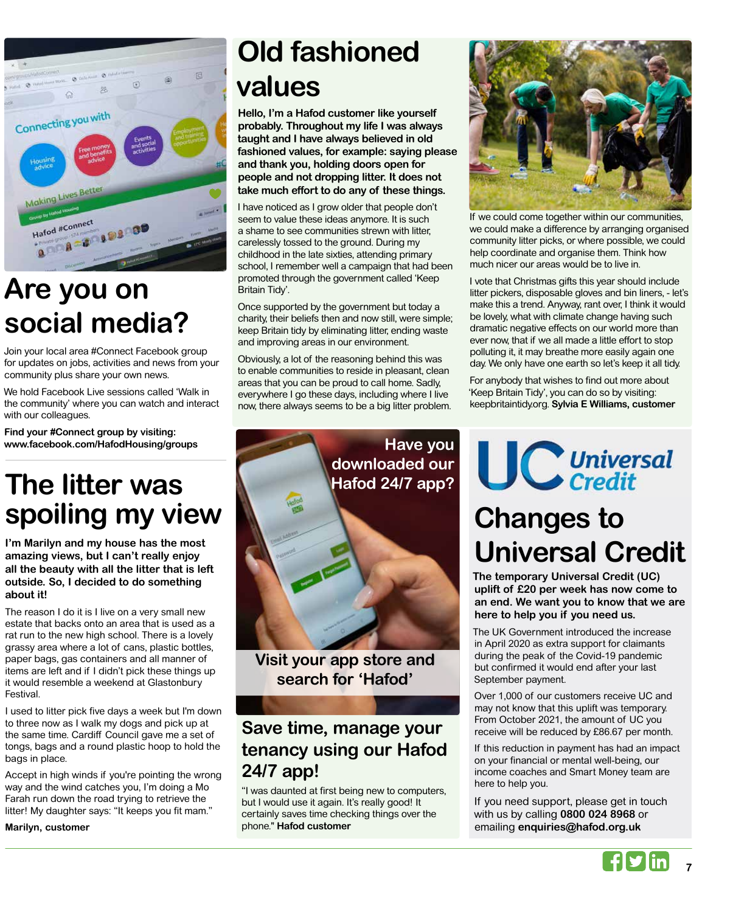

## **Are you on social media?**

Join your local area #Connect Facebook group for updates on jobs, activities and news from your community plus share your own news.

We hold Facebook Live sessions called 'Walk in the community' where you can watch and interact with our colleagues.

**Find your #Connect group by visiting: www.facebook.com/HafodHousing/groups**

## **The litter was spoiling my view**

**I'm Marilyn and my house has the most amazing views, but I can't really enjoy all the beauty with all the litter that is left outside. So, I decided to do something about it!** 

The reason I do it is I live on a very small new estate that backs onto an area that is used as a rat run to the new high school. There is a lovely grassy area where a lot of cans, plastic bottles, paper bags, gas containers and all manner of items are left and if I didn't pick these things up it would resemble a weekend at Glastonbury Festival.

I used to litter pick five days a week but I'm down to three now as I walk my dogs and pick up at the same time. Cardiff Council gave me a set of tongs, bags and a round plastic hoop to hold the bags in place.

Accept in high winds if you're pointing the wrong way and the wind catches you, I'm doing a Mo Farah run down the road trying to retrieve the litter! My daughter says: "It keeps you fit mam."

**Marilyn, customer**

# **Old fashioned values**

**Hello, I'm a Hafod customer like yourself probably. Throughout my life I was always taught and I have always believed in old fashioned values, for example: saying please and thank you, holding doors open for people and not dropping litter. It does not take much effort to do any of these things.**

I have noticed as I grow older that people don't seem to value these ideas anymore. It is such a shame to see communities strewn with litter, carelessly tossed to the ground. During my childhood in the late sixties, attending primary school, I remember well a campaign that had been promoted through the government called 'Keep Britain Tidy'.

Once supported by the government but today a charity, their beliefs then and now still, were simple; keep Britain tidy by eliminating litter, ending waste and improving areas in our environment.

Obviously, a lot of the reasoning behind this was to enable communities to reside in pleasant, clean areas that you can be proud to call home. Sadly, everywhere I go these days, including where I live now, there always seems to be a big litter problem.



**Visit your app store and search for 'Hafod'**

## **Save time, manage your tenancy using our Hafod 24/7 app!**

"I was daunted at first being new to computers, but I would use it again. It's really good! It certainly saves time checking things over the phone." **Hafod customer**



If we could come together within our communities, we could make a difference by arranging organised community litter picks, or where possible, we could help coordinate and organise them. Think how much nicer our areas would be to live in.

I vote that Christmas gifts this year should include litter pickers, disposable gloves and bin liners, - let's make this a trend. Anyway, rant over, I think it would be lovely, what with climate change having such dramatic negative effects on our world more than ever now, that if we all made a little effort to stop polluting it, it may breathe more easily again one day. We only have one earth so let's keep it all tidy.

For anybody that wishes to find out more about 'Keep Britain Tidy', you can do so by visiting: keepbritaintidy.org. **Sylvia E Williams, customer**

**UC** Universal

## **Changes to Universal Credit**

**The temporary Universal Credit (UC) uplift of £20 per week has now come to an end. We want you to know that we are here to help you if you need us.** 

The UK Government introduced the increase in April 2020 as extra support for claimants during the peak of the Covid-19 pandemic but confirmed it would end after your last September payment.

Over 1,000 of our customers receive UC and may not know that this uplift was temporary. From October 2021, the amount of UC you receive will be reduced by £86.67 per month.

If this reduction in payment has had an impact on your financial or mental well-being, our income coaches and Smart Money team are here to help you.

If you need support, please get in touch with us by calling **0800 024 8968** or emailing **enquiries@hafod.org.uk**